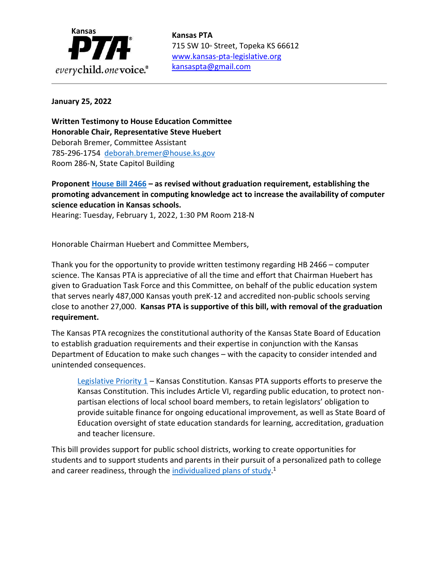

715 SW 10<sup>th</sup> Street, Topeka KS 66612 [www.kansas-pta-legislative.org](http://www.kansas-pta-legislative.org/)  [kansaspta@gmail.com](mailto:kansaspta@gmail.com)

## **January 25, 2022**

**Written Testimony to House Education Committee Honorable Chair, Representative Steve Huebert** Deborah Bremer, Committee Assistant 785-296-1754 [deborah.bremer@house.ks.gov](mailto:deborah.bremer@house.ks.gov) Room 286-N, State Capitol Building

**Proponent [House Bill 2466](http://www.kslegislature.org/li/b2021_22/measures/hb2466/) – as revised without graduation requirement, establishing the promoting advancement in computing knowledge act to increase the availability of computer science education in Kansas schools.**

Hearing: Tuesday, February 1, 2022, 1:30 PM Room 218-N

Honorable Chairman Huebert and Committee Members,

Thank you for the opportunity to provide written testimony regarding HB 2466 – computer science. The Kansas PTA is appreciative of all the time and effort that Chairman Huebert has given to Graduation Task Force and this Committee, on behalf of the public education system that serves nearly 487,000 Kansas youth preK-12 and accredited non-public schools serving close to another 27,000. **Kansas PTA is supportive of this bill, with removal of the graduation requirement.**

The Kansas PTA recognizes the constitutional authority of the Kansas State Board of Education to establish graduation requirements and their expertise in conjunction with the Kansas Department of Education to make such changes – with the capacity to consider intended and unintended consequences.

Legislative Priority  $1$  – Kansas Constitution. Kansas PTA supports efforts to preserve the Kansas Constitution. This includes Article VI, regarding public education, to protect nonpartisan elections of local school board members, to retain legislators' obligation to provide suitable finance for ongoing educational improvement, as well as State Board of Education oversight of state education standards for learning, accreditation, graduation and teacher licensure.

This bill provides support for public school districts, working to create opportunities for students and to support students and parents in their pursuit of a personalized path to college and career readiness, through the **individualized [plans of study.](https://www.ksde.org/Agency/Fiscal-and-Administrative-Services/Communications-and-Recognition-Programs/Vision-Kansans-Can)**<sup>1</sup>